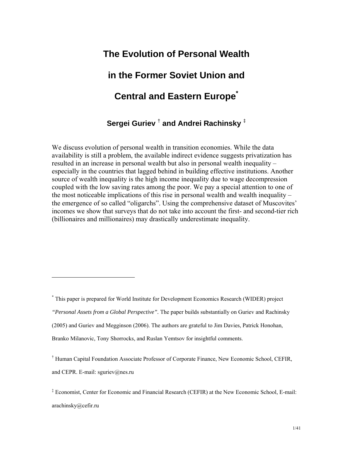## **The Evolution of Personal Wealth**

## **in the Former Soviet Union and**

## **Central and Eastern Europe\***

**Sergei Guriev** †  **and Andrei Rachinsky** ‡

We discuss evolution of personal wealth in transition economies. While the data availability is still a problem, the available indirect evidence suggests privatization has resulted in an increase in personal wealth but also in personal wealth inequality – especially in the countries that lagged behind in building effective institutions. Another source of wealth inequality is the high income inequality due to wage decompression coupled with the low saving rates among the poor. We pay a special attention to one of the most noticeable implications of this rise in personal wealth and wealth inequality – the emergence of so called "oligarchs". Using the comprehensive dataset of Muscovites' incomes we show that surveys that do not take into account the first- and second-tier rich (billionaires and millionaires) may drastically underestimate inequality.

<sup>\*</sup> This paper is prepared for World Institute for Development Economics Research (WIDER) project

*<sup>&</sup>quot;Personal Assets from a Global Perspective".* The paper builds substantially on Guriev and Rachinsky

<sup>(2005)</sup> and Guriev and Megginson (2006). The authors are grateful to Jim Davies, Patrick Honohan,

Branko Milanovic, Tony Shorrocks, and Ruslan Yemtsov for insightful comments.

<sup>†</sup> Human Capital Foundation Associate Professor of Corporate Finance, New Economic School, CEFIR, and CEPR. E-mail: sguriev@nes.ru

<sup>‡</sup> Economist, Center for Economic and Financial Research (CEFIR) at the New Economic School, E-mail: arachinsky@cefir.ru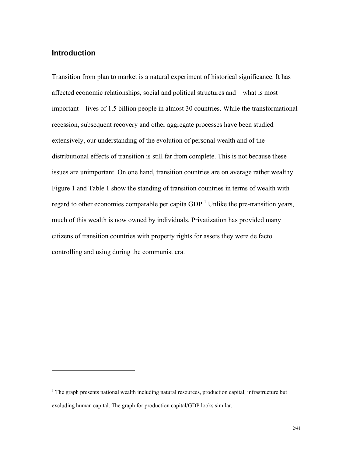### **Introduction**

1

Transition from plan to market is a natural experiment of historical significance. It has affected economic relationships, social and political structures and – what is most important – lives of 1.5 billion people in almost 30 countries. While the transformational recession, subsequent recovery and other aggregate processes have been studied extensively, our understanding of the evolution of personal wealth and of the distributional effects of transition is still far from complete. This is not because these issues are unimportant. On one hand, transition countries are on average rather wealthy. Figure 1 and Table 1 show the standing of transition countries in terms of wealth with regard to other economies comparable per capita  $GDP<sup>1</sup>$  Unlike the pre-transition years, much of this wealth is now owned by individuals. Privatization has provided many citizens of transition countries with property rights for assets they were de facto controlling and using during the communist era.

 $<sup>1</sup>$  The graph presents national wealth including natural resources, production capital, infrastructure but</sup> excluding human capital. The graph for production capital/GDP looks similar.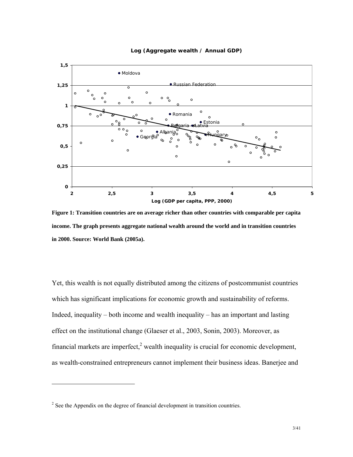

#### **Log (Aggregate wealth / Annual GDP)**

**Figure 1: Transition countries are on average richer than other countries with comparable per capita income. The graph presents aggregate national wealth around the world and in transition countries in 2000. Source: World Bank (2005a).** 

Yet, this wealth is not equally distributed among the citizens of postcommunist countries which has significant implications for economic growth and sustainability of reforms. Indeed, inequality – both income and wealth inequality – has an important and lasting effect on the institutional change (Glaeser et al., 2003, Sonin, 2003). Moreover, as financial markets are imperfect, $2$  wealth inequality is crucial for economic development, as wealth-constrained entrepreneurs cannot implement their business ideas. Banerjee and

 $2^2$  See the Appendix on the degree of financial development in transition countries.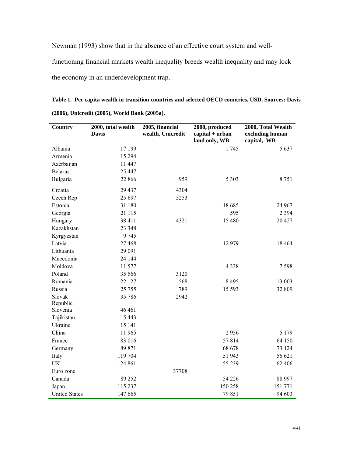Newman (1993) show that in the absence of an effective court system and well-

functioning financial markets wealth inequality breeds wealth inequality and may lock

the economy in an underdevelopment trap.

**Table 1. Per capita wealth in transition countries and selected OECD countries, USD. Sources: Davis (2006), Unicredit (2005), World Bank (2005a).** 

| <b>Country</b>       | 2000, total wealth<br><b>Davis</b> | 2005, financial<br>wealth, Unicredit | 2000, produced<br>$capital + urban$<br>land only, WB | 2000, Total Wealth<br>excluding human<br>capital, WB |
|----------------------|------------------------------------|--------------------------------------|------------------------------------------------------|------------------------------------------------------|
| Albania              | 17 199                             |                                      | 1745                                                 | 5 6 3 7                                              |
| Armenia              | 15 294                             |                                      |                                                      |                                                      |
| Azerbaijan           | 11 447                             |                                      |                                                      |                                                      |
| <b>Belarus</b>       | 25 447                             |                                      |                                                      |                                                      |
| Bulgaria             | 22 866                             | 959                                  | 5 3 0 3                                              | 8751                                                 |
| Croatia              | 29 437                             | 4304                                 |                                                      |                                                      |
| Czech Rep            | 25 697                             | 5253                                 |                                                      |                                                      |
| Estonia              | 31 180                             |                                      | 18 685                                               | 24 967                                               |
| Georgia              | 21 115                             |                                      | 595                                                  | 2 3 9 4                                              |
| Hungary              | 38 411                             | 4321                                 | 15 480                                               | 20 427                                               |
| Kazakhstan           | 23 348                             |                                      |                                                      |                                                      |
| Kyrgyzstan           | 9745                               |                                      |                                                      |                                                      |
| Latvia               | 27 4 68                            |                                      | 12 979                                               | 18 4 64                                              |
| Lithuania            | 29 091                             |                                      |                                                      |                                                      |
| Macedonia            | 24 144                             |                                      |                                                      |                                                      |
| Moldova              | 11 577                             |                                      | 4 3 3 8                                              | 7598                                                 |
| Poland               | 35 566                             | 3120                                 |                                                      |                                                      |
| Romania              | 22 127                             | 568                                  | 8 4 9 5                                              | 13 003                                               |
| Russia               | 25 7 55                            | 789                                  | 15 5 93                                              | 32 809                                               |
| Slovak               | 35 786                             | 2942                                 |                                                      |                                                      |
| Republic             |                                    |                                      |                                                      |                                                      |
| Slovenia             | 46 4 61                            |                                      |                                                      |                                                      |
| Tajikistan           | 5 4 4 3                            |                                      |                                                      |                                                      |
| Ukraine              | 15 141                             |                                      |                                                      |                                                      |
| China                | 11 965                             |                                      | 2956                                                 | 5 1 7 9                                              |
| France               | 83 016                             |                                      | 57814                                                | 64 150                                               |
| Germany              | 89 871                             |                                      | 68 678                                               | 73 124                                               |
| Italy                | 119 704                            |                                      | 51 943                                               | 56 621                                               |
| <b>UK</b>            | 124 861                            |                                      | 55 239                                               | 62 406                                               |
| Euro zone            |                                    | 37708                                |                                                      |                                                      |
| Canada               | 89 25 2                            |                                      | 54 226                                               | 88 997                                               |
| Japan                | 115 237                            |                                      | 150 258                                              | 151 771                                              |
| <b>United States</b> | 147 665                            |                                      | 79 851                                               | 94 603                                               |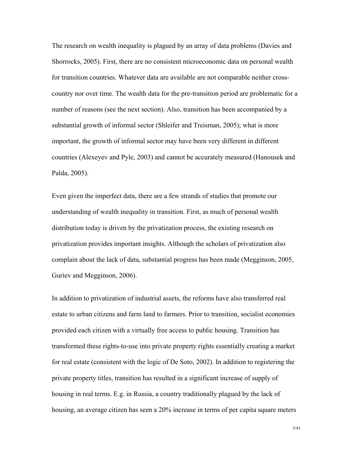The research on wealth inequality is plagued by an array of data problems (Davies and Shorrocks, 2005). First, there are no consistent microeconomic data on personal wealth for transition countries. Whatever data are available are not comparable neither crosscountry nor over time. The wealth data for the pre-transition period are problematic for a number of reasons (see the next section). Also, transition has been accompanied by a substantial growth of informal sector (Shleifer and Treisman, 2005); what is more important, the growth of informal sector may have been very different in different countries (Alexeyev and Pyle, 2003) and cannot be accurately measured (Hanousek and Palda, 2005).

Even given the imperfect data, there are a few strands of studies that promote our understanding of wealth inequality in transition. First, as much of personal wealth distribution today is driven by the privatization process, the existing research on privatization provides important insights. Although the scholars of privatization also complain about the lack of data, substantial progress has been made (Megginson, 2005, Guriev and Megginson, 2006).

In addition to privatization of industrial assets, the reforms have also transferred real estate to urban citizens and farm land to farmers. Prior to transition, socialist economies provided each citizen with a virtually free access to public housing. Transition has transformed these rights-to-use into private property rights essentially creating a market for real estate (consistent with the logic of De Soto, 2002). In addition to registering the private property titles, transition has resulted in a significant increase of supply of housing in real terms. E.g. in Russia, a country traditionally plagued by the lack of housing, an average citizen has seen a 20% increase in terms of per capita square meters

5/41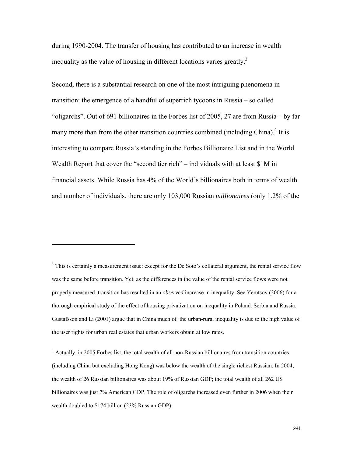during 1990-2004. The transfer of housing has contributed to an increase in wealth inequality as the value of housing in different locations varies greatly.<sup>3</sup>

Second, there is a substantial research on one of the most intriguing phenomena in transition: the emergence of a handful of superrich tycoons in Russia – so called "oligarchs". Out of 691 billionaires in the Forbes list of 2005, 27 are from Russia – by far many more than from the other transition countries combined (including China).<sup>4</sup> It is interesting to compare Russia's standing in the Forbes Billionaire List and in the World Wealth Report that cover the "second tier rich" – individuals with at least \$1M in financial assets. While Russia has 4% of the World's billionaires both in terms of wealth and number of individuals, there are only 103,000 Russian *millionaires* (only 1.2% of the

<sup>3</sup> This is certainly a measurement issue: except for the De Soto's collateral argument, the rental service flow was the same before transition. Yet, as the differences in the value of the rental service flows were not properly measured, transition has resulted in an *observed* increase in inequality. See Yemtsov (2006) for a thorough empirical study of the effect of housing privatization on inequality in Poland, Serbia and Russia. Gustafsson and Li (2001) argue that in China much of the urban-rural inequality is due to the high value of the user rights for urban real estates that urban workers obtain at low rates.

 $\overline{a}$ 

<sup>4</sup> Actually, in 2005 Forbes list, the total wealth of all non-Russian billionaires from transition countries (including China but excluding Hong Kong) was below the wealth of the single richest Russian. In 2004, the wealth of 26 Russian billionaires was about 19% of Russian GDP; the total wealth of all 262 US billionaires was just 7% American GDP. The role of oligarchs increased even further in 2006 when their wealth doubled to \$174 billion (23% Russian GDP).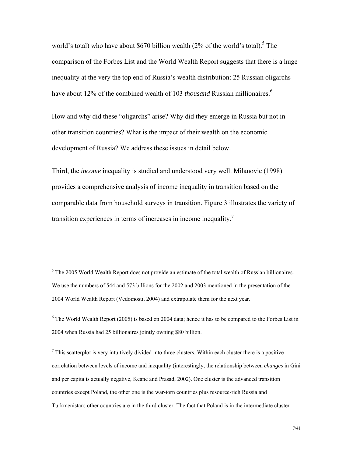world's total) who have about \$670 billion wealth  $(2\%$  of the world's total).<sup>5</sup> The comparison of the Forbes List and the World Wealth Report suggests that there is a huge inequality at the very the top end of Russia's wealth distribution: 25 Russian oligarchs have about 12% of the combined wealth of 103 *thousand* Russian millionaires.<sup>6</sup>

How and why did these "oligarchs" arise? Why did they emerge in Russia but not in other transition countries? What is the impact of their wealth on the economic development of Russia? We address these issues in detail below.

Third, the *income* inequality is studied and understood very well. Milanovic (1998) provides a comprehensive analysis of income inequality in transition based on the comparable data from household surveys in transition. Figure 3 illustrates the variety of transition experiences in terms of increases in income inequality.<sup>7</sup>

 $\overline{a}$ 

 $<sup>7</sup>$  This scatterplot is very intuitively divided into three clusters. Within each cluster there is a positive</sup> correlation between levels of income and inequality (interestingly, the relationship between *changes* in Gini and per capita is actually negative, Keane and Prasad, 2002). One cluster is the advanced transition countries except Poland, the other one is the war-torn countries plus resource-rich Russia and Turkmenistan; other countries are in the third cluster. The fact that Poland is in the intermediate cluster

 $<sup>5</sup>$  The 2005 World Wealth Report does not provide an estimate of the total wealth of Russian billionaires.</sup> We use the numbers of 544 and 573 billions for the 2002 and 2003 mentioned in the presentation of the 2004 World Wealth Report (Vedomosti, 2004) and extrapolate them for the next year.

<sup>&</sup>lt;sup>6</sup> The World Wealth Report (2005) is based on 2004 data; hence it has to be compared to the Forbes List in 2004 when Russia had 25 billionaires jointly owning \$80 billion.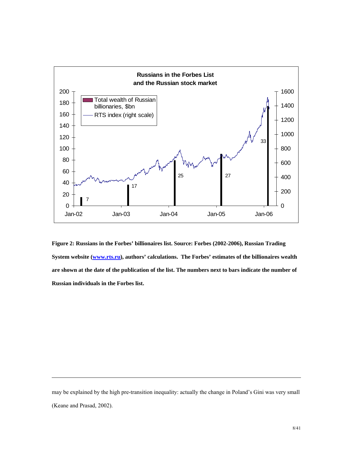

**Figure 2: Russians in the Forbes' billionaires list. Source: Forbes (2002-2006), Russian Trading System website (www.rts.ru), authors' calculations. The Forbes' estimates of the billionaires wealth are shown at the date of the publication of the list. The numbers next to bars indicate the number of Russian individuals in the Forbes list.** 

may be explained by the high pre-transition inequality: actually the change in Poland's Gini was very small (Keane and Prasad, 2002).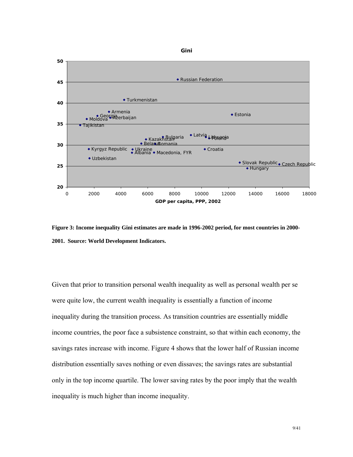

**Figure 3: Income inequality Gini estimates are made in 1996-2002 period, for most countries in 2000- 2001. Source: World Development Indicators.** 

Given that prior to transition personal wealth inequality as well as personal wealth per se were quite low, the current wealth inequality is essentially a function of income inequality during the transition process. As transition countries are essentially middle income countries, the poor face a subsistence constraint, so that within each economy, the savings rates increase with income. Figure 4 shows that the lower half of Russian income distribution essentially saves nothing or even dissaves; the savings rates are substantial only in the top income quartile. The lower saving rates by the poor imply that the wealth inequality is much higher than income inequality.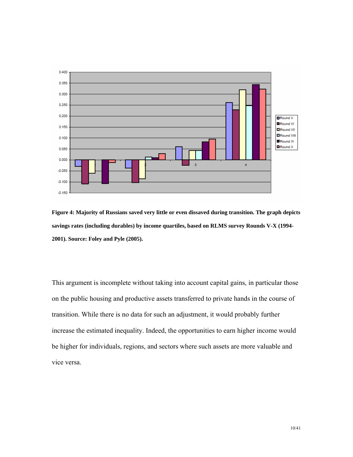

**Figure 4: Majority of Russians saved very little or even dissaved during transition. The graph depicts savings rates (including durables) by income quartiles, based on RLMS survey Rounds V-X (1994- 2001). Source: Foley and Pyle (2005).** 

This argument is incomplete without taking into account capital gains, in particular those on the public housing and productive assets transferred to private hands in the course of transition. While there is no data for such an adjustment, it would probably further increase the estimated inequality. Indeed, the opportunities to earn higher income would be higher for individuals, regions, and sectors where such assets are more valuable and vice versa.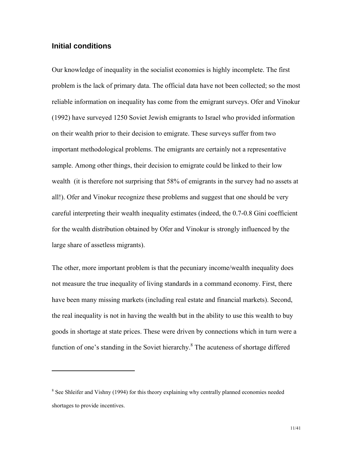#### **Initial conditions**

 $\overline{a}$ 

Our knowledge of inequality in the socialist economies is highly incomplete. The first problem is the lack of primary data. The official data have not been collected; so the most reliable information on inequality has come from the emigrant surveys. Ofer and Vinokur (1992) have surveyed 1250 Soviet Jewish emigrants to Israel who provided information on their wealth prior to their decision to emigrate. These surveys suffer from two important methodological problems. The emigrants are certainly not a representative sample. Among other things, their decision to emigrate could be linked to their low wealth (it is therefore not surprising that 58% of emigrants in the survey had no assets at all!). Ofer and Vinokur recognize these problems and suggest that one should be very careful interpreting their wealth inequality estimates (indeed, the 0.7-0.8 Gini coefficient for the wealth distribution obtained by Ofer and Vinokur is strongly influenced by the large share of assetless migrants).

The other, more important problem is that the pecuniary income/wealth inequality does not measure the true inequality of living standards in a command economy. First, there have been many missing markets (including real estate and financial markets). Second, the real inequality is not in having the wealth but in the ability to use this wealth to buy goods in shortage at state prices. These were driven by connections which in turn were a function of one's standing in the Soviet hierarchy.<sup>8</sup> The acuteness of shortage differed

<sup>&</sup>lt;sup>8</sup> See Shleifer and Vishny (1994) for this theory explaining why centrally planned economies needed shortages to provide incentives.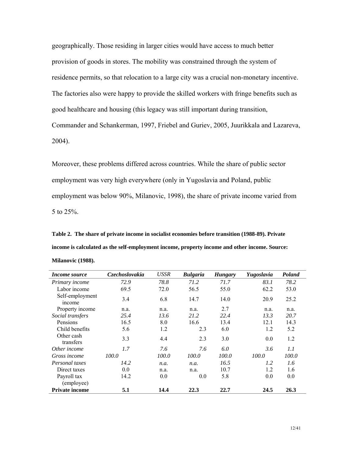geographically. Those residing in larger cities would have access to much better provision of goods in stores. The mobility was constrained through the system of residence permits, so that relocation to a large city was a crucial non-monetary incentive. The factories also were happy to provide the skilled workers with fringe benefits such as good healthcare and housing (this legacy was still important during transition, Commander and Schankerman, 1997, Friebel and Guriev, 2005, Juurikkala and Lazareva, 2004).

Moreover, these problems differed across countries. While the share of public sector employment was very high everywhere (only in Yugoslavia and Poland, public employment was below 90%, Milanovic, 1998), the share of private income varied from 5 to 25%.

**Table 2. The share of private income in socialist economies before transition (1988-89). Private income is calculated as the self-employment income, property income and other income. Source: Milanovic (1988).** 

| <i>Income source</i>      | Czechoslovakia | <b>USSR</b> | <b>Bulgaria</b> | <b>Hungary</b> | Yugoslavia | Poland |
|---------------------------|----------------|-------------|-----------------|----------------|------------|--------|
| Primary income            | 72.9           | 78.8        | 71.2            | 71.7           | 83.1       | 78.2   |
| Labor income              | 69.5           | 72.0        | 56.5            | 55.0           | 62.2       | 53.0   |
| Self-employment<br>income | 3.4            | 6.8         | 14.7            | 14.0           | 20.9       | 25.2   |
| Property income           | n.a.           | n.a.        | n.a.            | 2.7            | n.a.       | n.a.   |
| Social transfers          | 25.4           | 13.6        | 21.2            | 22.4           | 13.3       | 20.7   |
| Pensions                  | 16.5           | 8.0         | 16.6            | 13.4           | 12.1       | 14.3   |
| Child benefits            | 5.6            | 1.2         | 2.3             | 6.0            | 1.2        | 5.2    |
| Other cash<br>transfers   | 3.3            | 4.4         | 2.3             | 3.0            | 0.0        | 1.2    |
| Other income              | 1.7            | 7.6         | 7.6             | 6.0            | 3.6        | 1.1    |
| Gross income              | 100.0          | 100.0       | 100.0           | 100.0          | 100.0      | 100.0  |
| Personal taxes            | 14.2           | n.a.        | n.a.            | 16.5           | 1.2        | 1.6    |
| Direct taxes              | 0.0            | n.a.        | n.a.            | 10.7           | 1.2        | 1.6    |
| Payroll tax               | 14.2           | 0.0         | 0.0             | 5.8            | 0.0        | 0.0    |
| (employee)                |                |             |                 |                |            |        |
| <b>Private income</b>     | 5.1            | 14.4        | 22.3            | 22.7           | 24.5       | 26.3   |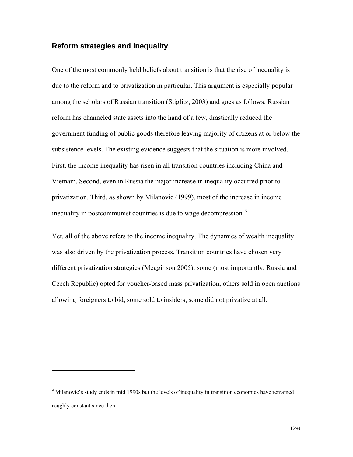#### **Reform strategies and inequality**

 $\overline{a}$ 

One of the most commonly held beliefs about transition is that the rise of inequality is due to the reform and to privatization in particular. This argument is especially popular among the scholars of Russian transition (Stiglitz, 2003) and goes as follows: Russian reform has channeled state assets into the hand of a few, drastically reduced the government funding of public goods therefore leaving majority of citizens at or below the subsistence levels. The existing evidence suggests that the situation is more involved. First, the income inequality has risen in all transition countries including China and Vietnam. Second, even in Russia the major increase in inequality occurred prior to privatization. Third, as shown by Milanovic (1999), most of the increase in income inequality in postcommunist countries is due to wage decompression.<sup>9</sup>

Yet, all of the above refers to the income inequality. The dynamics of wealth inequality was also driven by the privatization process. Transition countries have chosen very different privatization strategies (Megginson 2005): some (most importantly, Russia and Czech Republic) opted for voucher-based mass privatization, others sold in open auctions allowing foreigners to bid, some sold to insiders, some did not privatize at all.

<sup>&</sup>lt;sup>9</sup> Milanovic's study ends in mid 1990s but the levels of inequality in transition economies have remained roughly constant since then.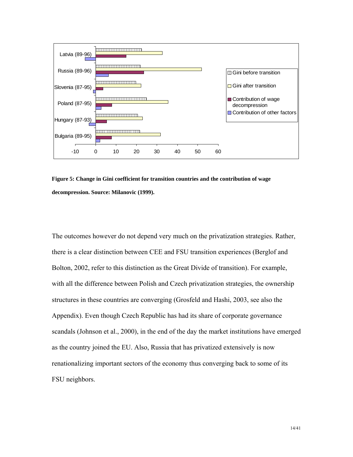

**Figure 5: Change in Gini coefficient for transition countries and the contribution of wage decompression. Source: Milanovic (1999).** 

The outcomes however do not depend very much on the privatization strategies. Rather, there is a clear distinction between CEE and FSU transition experiences (Berglof and Bolton, 2002, refer to this distinction as the Great Divide of transition). For example, with all the difference between Polish and Czech privatization strategies, the ownership structures in these countries are converging (Grosfeld and Hashi, 2003, see also the Appendix). Even though Czech Republic has had its share of corporate governance scandals (Johnson et al., 2000), in the end of the day the market institutions have emerged as the country joined the EU. Also, Russia that has privatized extensively is now renationalizing important sectors of the economy thus converging back to some of its FSU neighbors.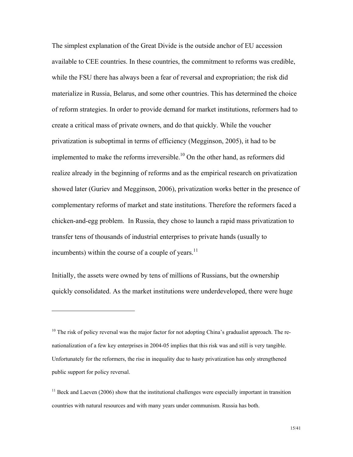The simplest explanation of the Great Divide is the outside anchor of EU accession available to CEE countries. In these countries, the commitment to reforms was credible, while the FSU there has always been a fear of reversal and expropriation; the risk did materialize in Russia, Belarus, and some other countries. This has determined the choice of reform strategies. In order to provide demand for market institutions, reformers had to create a critical mass of private owners, and do that quickly. While the voucher privatization is suboptimal in terms of efficiency (Megginson, 2005), it had to be implemented to make the reforms irreversible.<sup>10</sup> On the other hand, as reformers did realize already in the beginning of reforms and as the empirical research on privatization showed later (Guriev and Megginson, 2006), privatization works better in the presence of complementary reforms of market and state institutions. Therefore the reformers faced a chicken-and-egg problem. In Russia, they chose to launch a rapid mass privatization to transfer tens of thousands of industrial enterprises to private hands (usually to incumbents) within the course of a couple of years. $^{11}$ 

Initially, the assets were owned by tens of millions of Russians, but the ownership quickly consolidated. As the market institutions were underdeveloped, there were huge

<u>.</u>

<sup>&</sup>lt;sup>10</sup> The risk of policy reversal was the major factor for not adopting China's gradualist approach. The renationalization of a few key enterprises in 2004-05 implies that this risk was and still is very tangible. Unfortunately for the reformers, the rise in inequality due to hasty privatization has only strengthened public support for policy reversal.

 $11$  Beck and Laeven (2006) show that the institutional challenges were especially important in transition countries with natural resources and with many years under communism. Russia has both.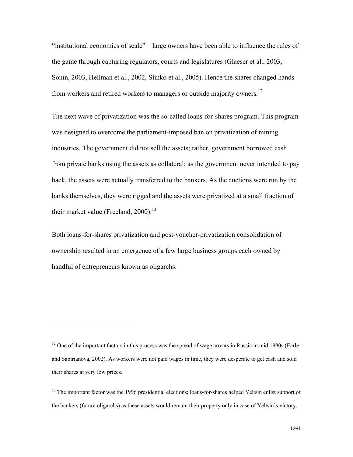"institutional economies of scale" – large owners have been able to influence the rules of the game through capturing regulators, courts and legislatures (Glaeser et al., 2003, Sonin, 2003, Hellman et al., 2002, Slinko et al., 2005). Hence the shares changed hands from workers and retired workers to managers or outside majority owners.12

The next wave of privatization was the so-called loans-for-shares program. This program was designed to overcome the parliament-imposed ban on privatization of mining industries. The government did not sell the assets; rather, government borrowed cash from private banks using the assets as collateral; as the government never intended to pay back, the assets were actually transferred to the bankers. As the auctions were run by the banks themselves, they were rigged and the assets were privatized at a small fraction of their market value (Freeland,  $2000$ ).<sup>13</sup>

Both loans-for-shares privatization and post-voucher-privatization consolidation of ownership resulted in an emergence of a few large business groups each owned by handful of entrepreneurs known as oligarchs.

 $12$  One of the important factors in this process was the spread of wage arrears in Russia in mid 1990s (Earle and Sabirianova, 2002). As workers were not paid wages in time, they were desperate to get cash and sold their shares at very low prices.

<sup>&</sup>lt;sup>13</sup> The important factor was the 1996 presidential elections; loans-for-shares helped Yeltsin enlist support of the bankers (future oligarchs) as these assets would remain their property only in case of Yeltsin's victory.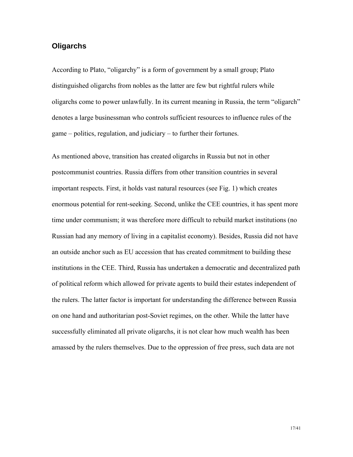## **Oligarchs**

According to Plato, "oligarchy" is a form of government by a small group; Plato distinguished oligarchs from nobles as the latter are few but rightful rulers while oligarchs come to power unlawfully. In its current meaning in Russia, the term "oligarch" denotes a large businessman who controls sufficient resources to influence rules of the game – politics, regulation, and judiciary – to further their fortunes.

As mentioned above, transition has created oligarchs in Russia but not in other postcommunist countries. Russia differs from other transition countries in several important respects. First, it holds vast natural resources (see Fig. 1) which creates enormous potential for rent-seeking. Second, unlike the CEE countries, it has spent more time under communism; it was therefore more difficult to rebuild market institutions (no Russian had any memory of living in a capitalist economy). Besides, Russia did not have an outside anchor such as EU accession that has created commitment to building these institutions in the CEE. Third, Russia has undertaken a democratic and decentralized path of political reform which allowed for private agents to build their estates independent of the rulers. The latter factor is important for understanding the difference between Russia on one hand and authoritarian post-Soviet regimes, on the other. While the latter have successfully eliminated all private oligarchs, it is not clear how much wealth has been amassed by the rulers themselves. Due to the oppression of free press, such data are not

17/41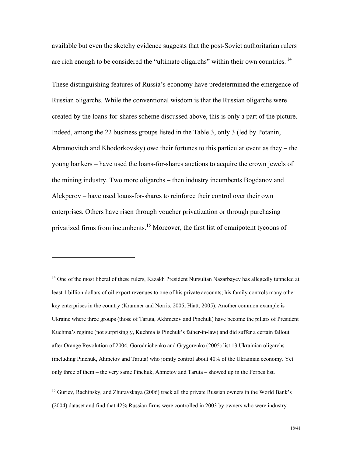available but even the sketchy evidence suggests that the post-Soviet authoritarian rulers are rich enough to be considered the "ultimate oligarchs" within their own countries.<sup>14</sup>

These distinguishing features of Russia's economy have predetermined the emergence of Russian oligarchs. While the conventional wisdom is that the Russian oligarchs were created by the loans-for-shares scheme discussed above, this is only a part of the picture. Indeed, among the 22 business groups listed in the Table 3, only 3 (led by Potanin, Abramovitch and Khodorkovsky) owe their fortunes to this particular event as they – the young bankers – have used the loans-for-shares auctions to acquire the crown jewels of the mining industry. Two more oligarchs – then industry incumbents Bogdanov and Alekperov – have used loans-for-shares to reinforce their control over their own enterprises. Others have risen through voucher privatization or through purchasing privatized firms from incumbents.<sup>15</sup> Moreover, the first list of omnipotent tycoons of

<sup>&</sup>lt;sup>14</sup> One of the most liberal of these rulers, Kazakh President Nursultan Nazarbayev has allegedly tunneled at least 1 billion dollars of oil export revenues to one of his private accounts; his family controls many other key enterprises in the country (Kramner and Norris, 2005, Hiatt, 2005). Another common example is Ukraine where three groups (those of Taruta, Akhmetov and Pinchuk) have become the pillars of President Kuchma's regime (not surprisingly, Kuchma is Pinchuk's father-in-law) and did suffer a certain fallout after Orange Revolution of 2004. Gorodnichenko and Grygorenko (2005) list 13 Ukrainian oligarchs (including Pinchuk, Ahmetov and Taruta) who jointly control about 40% of the Ukrainian economy. Yet only three of them – the very same Pinchuk, Ahmetov and Taruta – showed up in the Forbes list.

<sup>&</sup>lt;sup>15</sup> Guriev, Rachinsky, and Zhuravskaya (2006) track all the private Russian owners in the World Bank's (2004) dataset and find that 42% Russian firms were controlled in 2003 by owners who were industry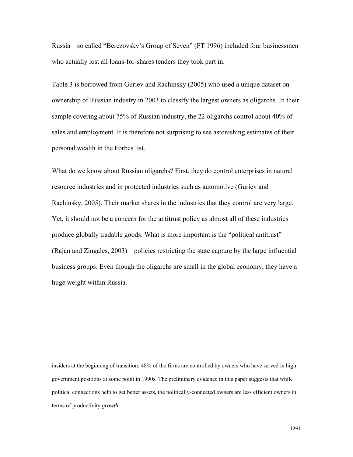Russia – so called "Berezovsky's Group of Seven" (FT 1996) included four businessmen who actually lost all loans-for-shares tenders they took part in.

Table 3 is borrowed from Guriev and Rachinsky (2005) who used a unique dataset on ownership of Russian industry in 2003 to classify the largest owners as oligarchs. In their sample covering about 75% of Russian industry, the 22 oligarchs control about 40% of sales and employment. It is therefore not surprising to see astonishing estimates of their personal wealth in the Forbes list.

What do we know about Russian oligarchs? First, they do control enterprises in natural resource industries and in protected industries such as automotive (Guriev and Rachinsky, 2005). Their market shares in the industries that they control are very large. Yet, it should not be a concern for the antitrust policy as almost all of these industries produce globally tradable goods. What is more important is the "political antitrust" (Rajan and Zingales, 2003) – policies restricting the state capture by the large influential business groups. Even though the oligarchs are small in the global economy, they have a huge weight within Russia.

insiders at the beginning of transition; 48% of the firms are controlled by owners who have served in high government positions at some point in 1990s. The preliminary evidence in this paper suggests that while political connections help to get better assets, the politically-connected owners are less efficient owners in terms of productivity *growth.*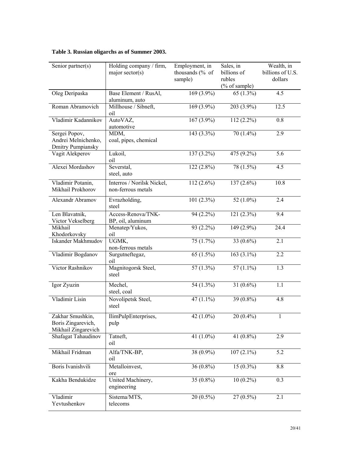| Senior partner(s)                                             | Holding company / firm,<br>major sector( $s$ )   | Employment, in<br>thousands (% of<br>sample) | Sales, in<br>billions of<br>rubles<br>(% of sample) | Wealth, in<br>billions of U.S.<br>dollars |
|---------------------------------------------------------------|--------------------------------------------------|----------------------------------------------|-----------------------------------------------------|-------------------------------------------|
| Oleg Deripaska                                                | Base Element / RusAl,<br>aluminum, auto          | 169 $(3.9\%)$                                | 65 $(1.3\%)$                                        | 4.5                                       |
| Roman Abramovich                                              | Millhouse / Sibneft,<br>oil                      | $169(3.9\%)$                                 | 203 (3.9%)                                          | 12.5                                      |
| Vladimir Kadannikov                                           | AutoVAZ,<br>automotive                           | 167 (3.9%)                                   | $112(2.2\%)$                                        | 0.8                                       |
| Sergei Popov,<br>Andrei Melnichenko,<br>Dmitry Pumpiansky     | MDM,<br>coal, pipes, chemical                    | 143 (3.3%)                                   | 70 (1.4%)                                           | 2.9                                       |
| Vagit Alekperov                                               | Lukoil,<br>oil                                   | 137 (3.2%)                                   | 475 (9.2%)                                          | 5.6                                       |
| Alexei Mordashov                                              | Severstal,<br>steel, auto                        | $122(2.8\%)$                                 | 78 (1.5%)                                           | 4.5                                       |
| Vladimir Potanin,<br>Mikhail Prokhorov                        | Interros / Norilsk Nickel,<br>non-ferrous metals | $112(2.6\%)$                                 | $137(2.6\%)$                                        | 10.8                                      |
| <b>Alexandr Abramov</b>                                       | Evrazholding,<br>steel                           | $101(2.3\%)$                                 | 52 $(1.0\%)$                                        | 2.4                                       |
| Len Blavatnik,<br>Victor Vekselberg                           | Access-Renova/TNK-<br>BP, oil, aluminum          | 94 (2.2%)                                    | 121 (2.3%)                                          | 9.4                                       |
| Mikhail<br>Khodorkovsky                                       | Menatep/Yukos,<br>oil                            | $93(2.2\%)$                                  | 149 (2.9%)                                          | 24.4                                      |
| Iskander Makhmudov                                            | UGMK,<br>non-ferrous metals                      | 75(1.7%)                                     | 33 $(0.6\%)$                                        | 2.1                                       |
| Vladimir Bogdanov                                             | Surgutneftegaz,<br>oil                           | 65 $(1.5\%)$                                 | $163(3.1\%)$                                        | 2.2                                       |
| Victor Rashnikov                                              | Magnitogorsk Steel,<br>steel                     | 57 $(1.3\%)$                                 | 57 $(1.1\%)$                                        | 1.3                                       |
| Igor Zyuzin                                                   | Mechel,<br>steel, coal                           | 54 (1.3%)                                    | 31 $(0.6\%)$                                        | 1.1                                       |
| Vladimir Lisin                                                | Novolipetsk Steel,<br>steel                      | 47 $(1.1\%)$                                 | 39 (0.8%)                                           | 4.8                                       |
| Zakhar Smushkin,<br>Boris Zingarevich,<br>Mikhail Zingarevich | IlimPulpEnterprises,<br>pulp                     | 42 $(1.0\%)$                                 | $20(0.4\%)$                                         | $\mathbf{1}$                              |
| Shafagat Tahaudinov                                           | Tatneft,<br>oil                                  | 41 $(1.0\%)$                                 | 41 (0.8%)                                           | 2.9                                       |
| Mikhail Fridman                                               | Alfa/TNK-BP,<br>oil                              | 38 (0.9%)                                    | $107(2.1\%)$                                        | 5.2                                       |
| Boris Ivanishvili                                             | Metalloinvest,<br>ore                            | $36(0.8\%)$                                  | $15(0.3\%)$                                         | 8.8                                       |
| Kakha Bendukidze                                              | United Machinery,<br>engineering                 | 35 $(0.8\%)$                                 | $10(0.2\%)$                                         | 0.3                                       |
| Vladimir<br>Yevtushenkov                                      | Sistema/MTS,<br>telecoms                         | $20(0.5\%)$                                  | $27(0.5\%)$                                         | 2.1                                       |

#### **Table 3. Russian oligarchs as of Summer 2003.**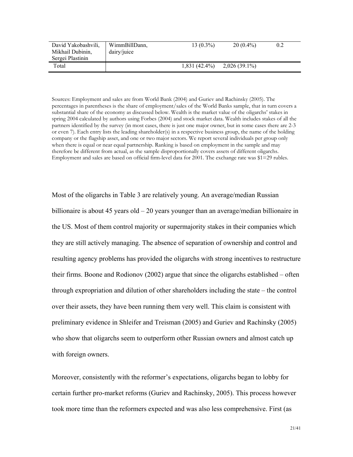| David Yakobashvili,<br>Mikhail Dubinin,<br>Sergei Plastinin | WimmBillDann,<br>dairy/juice | $13(0.3\%)$     | $20(0.4\%)$   |  |
|-------------------------------------------------------------|------------------------------|-----------------|---------------|--|
| Total                                                       |                              | $1,831(42.4\%)$ | 2,026 (39.1%) |  |

Sources: Employment and sales are from World Bank (2004) and Guriev and Rachinsky (2005). The percentages in parentheses is the share of employment/sales of the World Banks sample, that in turn covers a substantial share of the economy as discussed below. Wealth is the market value of the oligarchs' stakes in spring 2004 calculated by authors using Forbes (2004) and stock market data. Wealth includes stakes of all the partners identified by the survey (in most cases, there is just one major owner, but in some cases there are 2-3 or even 7). Each entry lists the leading shareholder(s) in a respective business group, the name of the holding company or the flagship asset, and one or two major sectors. We report several individuals per group only when there is equal or near equal partnership. Ranking is based on employment in the sample and may therefore be different from actual, as the sample disproportionally covers assets of different oligarchs. Employment and sales are based on official firm-level data for 2001. The exchange rate was \$1=29 rubles.

Most of the oligarchs in Table 3 are relatively young. An average/median Russian billionaire is about 45 years old – 20 years younger than an average/median billionaire in the US. Most of them control majority or supermajority stakes in their companies which they are still actively managing. The absence of separation of ownership and control and resulting agency problems has provided the oligarchs with strong incentives to restructure their firms. Boone and Rodionov (2002) argue that since the oligarchs established – often through expropriation and dilution of other shareholders including the state – the control over their assets, they have been running them very well. This claim is consistent with preliminary evidence in Shleifer and Treisman (2005) and Guriev and Rachinsky (2005) who show that oligarchs seem to outperform other Russian owners and almost catch up with foreign owners.

Moreover, consistently with the reformer's expectations, oligarchs began to lobby for certain further pro-market reforms (Guriev and Rachinsky, 2005). This process however took more time than the reformers expected and was also less comprehensive. First (as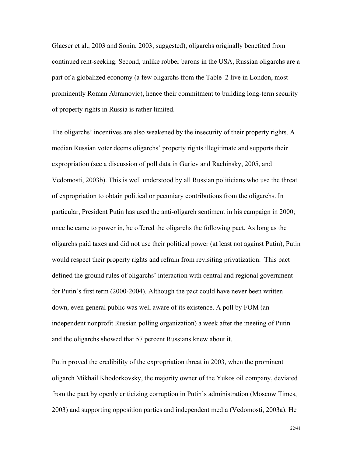Glaeser et al., 2003 and Sonin, 2003, suggested), oligarchs originally benefited from continued rent-seeking. Second, unlike robber barons in the USA, Russian oligarchs are a part of a globalized economy (a few oligarchs from the Table 2 live in London, most prominently Roman Abramovic), hence their commitment to building long-term security of property rights in Russia is rather limited.

The oligarchs' incentives are also weakened by the insecurity of their property rights. A median Russian voter deems oligarchs' property rights illegitimate and supports their expropriation (see a discussion of poll data in Guriev and Rachinsky, 2005, and Vedomosti, 2003b). This is well understood by all Russian politicians who use the threat of expropriation to obtain political or pecuniary contributions from the oligarchs. In particular, President Putin has used the anti-oligarch sentiment in his campaign in 2000; once he came to power in, he offered the oligarchs the following pact. As long as the oligarchs paid taxes and did not use their political power (at least not against Putin), Putin would respect their property rights and refrain from revisiting privatization. This pact defined the ground rules of oligarchs' interaction with central and regional government for Putin's first term (2000-2004). Although the pact could have never been written down, even general public was well aware of its existence. A poll by FOM (an independent nonprofit Russian polling organization) a week after the meeting of Putin and the oligarchs showed that 57 percent Russians knew about it.

Putin proved the credibility of the expropriation threat in 2003, when the prominent oligarch Mikhail Khodorkovsky, the majority owner of the Yukos oil company, deviated from the pact by openly criticizing corruption in Putin's administration (Moscow Times, 2003) and supporting opposition parties and independent media (Vedomosti, 2003a). He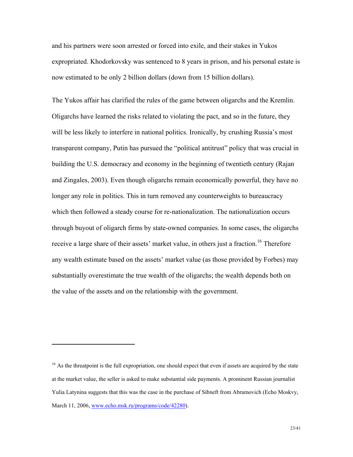and his partners were soon arrested or forced into exile, and their stakes in Yukos expropriated. Khodorkovsky was sentenced to 8 years in prison, and his personal estate is now estimated to be only 2 billion dollars (down from 15 billion dollars).

The Yukos affair has clarified the rules of the game between oligarchs and the Kremlin. Oligarchs have learned the risks related to violating the pact, and so in the future, they will be less likely to interfere in national politics. Ironically, by crushing Russia's most transparent company, Putin has pursued the "political antitrust" policy that was crucial in building the U.S. democracy and economy in the beginning of twentieth century (Rajan and Zingales, 2003). Even though oligarchs remain economically powerful, they have no longer any role in politics. This in turn removed any counterweights to bureaucracy which then followed a steady course for re-nationalization. The nationalization occurs through buyout of oligarch firms by state-owned companies. In some cases, the oligarchs receive a large share of their assets' market value, in others just a fraction.<sup>16</sup> Therefore any wealth estimate based on the assets' market value (as those provided by Forbes) may substantially overestimate the true wealth of the oligarchs; the wealth depends both on the value of the assets and on the relationship with the government.

 $16$  As the threatpoint is the full expropriation, one should expect that even if assets are acquired by the state at the market value, the seller is asked to make substantial side payments. A prominent Russian journalist Yulia Latynina suggests that this was the case in the purchase of Sibneft from Abramovich (Echo Moskvy, March 11, 2006, www.echo.msk.ru/programs/code/42280).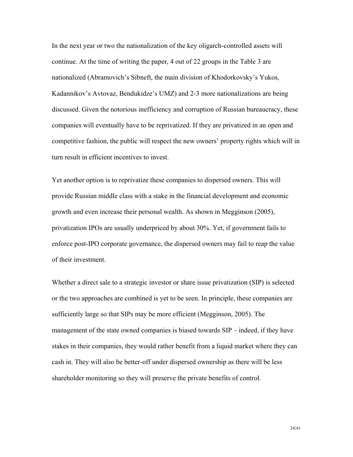In the next year or two the nationalization of the key oligarch-controlled assets will continue. At the time of writing the paper, 4 out of 22 groups in the Table 3 are nationalized (Abramovich's Sibneft, the main division of Khodorkovsky's Yukos, Kadannikov's Avtovaz, Bendukidze's UMZ) and 2-3 more nationalizations are being discussed. Given the notorious inefficiency and corruption of Russian bureaucracy, these companies will eventually have to be reprivatized. If they are privatized in an open and competitive fashion, the public will respect the new owners' property rights which will in turn result in efficient incentives to invest.

Yet another option is to reprivatize these companies to dispersed owners. This will provide Russian middle class with a stake in the financial development and economic growth and even increase their personal wealth. As shown in Megginson (2005), privatization IPOs are usually underpriced by about 30%. Yet, if government fails to enforce post-IPO corporate governance, the dispersed owners may fail to reap the value of their investment.

Whether a direct sale to a strategic investor or share issue privatization (SIP) is selected or the two approaches are combined is yet to be seen. In principle, these companies are sufficiently large so that SIPs may be more efficient (Megginson, 2005). The management of the state owned companies is biased towards SIP – indeed, if they have stakes in their companies, they would rather benefit from a liquid market where they can cash in. They will also be better-off under dispersed ownership as there will be less shareholder monitoring so they will preserve the private benefits of control.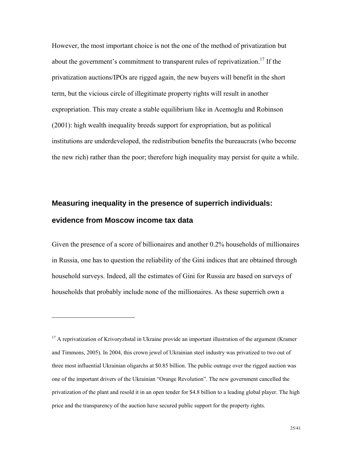However, the most important choice is not the one of the method of privatization but about the government's commitment to transparent rules of reprivatization.<sup>17</sup> If the privatization auctions/IPOs are rigged again, the new buyers will benefit in the short term, but the vicious circle of illegitimate property rights will result in another expropriation. This may create a stable equilibrium like in Acemoglu and Robinson (2001): high wealth inequality breeds support for expropriation, but as political institutions are underdeveloped, the redistribution benefits the bureaucrats (who become the new rich) rather than the poor; therefore high inequality may persist for quite a while.

# **Measuring inequality in the presence of superrich individuals: evidence from Moscow income tax data**

 $\overline{a}$ 

Given the presence of a score of billionaires and another 0.2% households of millionaires in Russia, one has to question the reliability of the Gini indices that are obtained through household surveys. Indeed, all the estimates of Gini for Russia are based on surveys of households that probably include none of the millionaires. As these superrich own a

<sup>&</sup>lt;sup>17</sup> A reprivatization of Krivoryzhstal in Ukraine provide an important illustration of the argument (Kramer and Timmons, 2005). In 2004, this crown jewel of Ukrainian steel industry was privatized to two out of three most influential Ukrainian oligarchs at \$0.85 billion. The public outrage over the rigged auction was one of the important drivers of the Ukrainian "Orange Revolution". The new government cancelled the privatization of the plant and resold it in an open tender for \$4.8 billion to a leading global player. The high price and the transparency of the auction have secured public support for the property rights.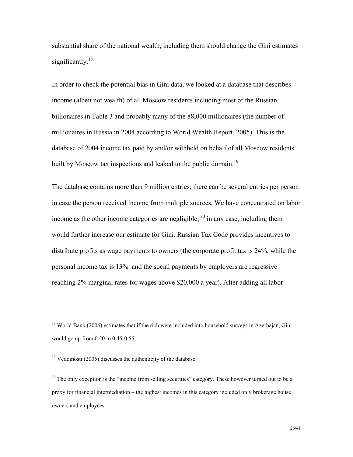substantial share of the national wealth, including them should change the Gini estimates significantly.<sup>18</sup>

In order to check the potential bias in Gini data, we looked at a database that describes income (albeit not wealth) of all Moscow residents including most of the Russian billionaires in Table 3 and probably many of the 88,000 millionaires (the number of millionaires in Russia in 2004 according to World Wealth Report, 2005). This is the database of 2004 income tax paid by and/or withheld on behalf of all Moscow residents built by Moscow tax inspections and leaked to the public domain.<sup>19</sup>

The database contains more than 9 million entries; there can be several entries per person in case the person received income from multiple sources. We have concentrated on labor income as the other income categories are negligible;  $^{20}$  in any case, including them would further increase our estimate for Gini. Russian Tax Code provides incentives to distribute profits as wage payments to owners (the corporate profit tax is 24%, while the personal income tax is 13% and the social payments by employers are regressive reaching 2% marginal rates for wages above \$20,000 a year). After adding all labor

<sup>&</sup>lt;sup>18</sup> World Bank (2006) estimates that if the rich were included into household surveys in Azerbajan, Gini would go up from 0.20 to 0.45-0.55.

 $19$  Vedomosti (2005) discusses the authenticity of the database.

<sup>&</sup>lt;sup>20</sup> The only exception is the "income from selling securities" category. These however turned out to be a proxy for financial intermediation – the highest incomes in this category included only brokerage house owners and employees.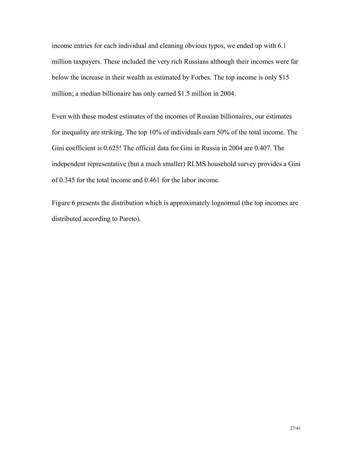income entries for each individual and cleaning obvious typos, we ended up with 6.1 million taxpayers. These included the very rich Russians although their incomes were far below the increase in their wealth as estimated by Forbes. The top income is only \$15 million; a median billionaire has only earned \$1.5 million in 2004.

Even with these modest estimates of the incomes of Russian billionaires, our estimates for inequality are striking. The top 10% of individuals earn 50% of the total income. The Gini coefficient is 0.625! The official data for Gini in Russia in 2004 are 0.407. The independent representative (but a much smaller) RLMS household survey provides a Gini of 0.345 for the total income and 0.461 for the labor income.

Figure 6 presents the distribution which is approximately lognormal (the top incomes are distributed according to Pareto).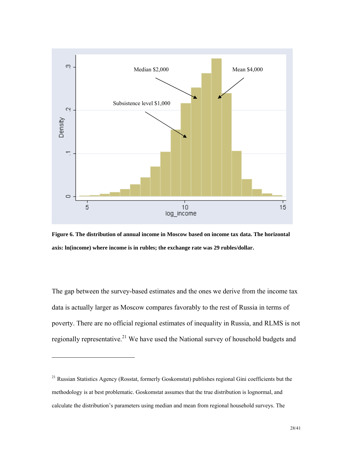

**Figure 6. The distribution of annual income in Moscow based on income tax data. The horizontal axis: ln(income) where income is in rubles; the exchange rate was 29 rubles/dollar.** 

The gap between the survey-based estimates and the ones we derive from the income tax data is actually larger as Moscow compares favorably to the rest of Russia in terms of poverty. There are no official regional estimates of inequality in Russia, and RLMS is not regionally representative.<sup>21</sup> We have used the National survey of household budgets and

<sup>&</sup>lt;sup>21</sup> Russian Statistics Agency (Rosstat, formerly Goskomstat) publishes regional Gini coefficients but the methodology is at best problematic. Goskomstat assumes that the true distribution is lognormal, and calculate the distribution's parameters using median and mean from regional household surveys. The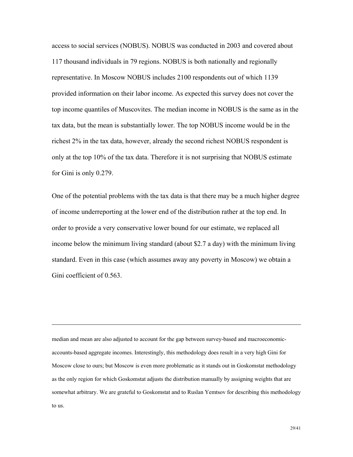access to social services (NOBUS). NOBUS was conducted in 2003 and covered about 117 thousand individuals in 79 regions. NOBUS is both nationally and regionally representative. In Moscow NOBUS includes 2100 respondents out of which 1139 provided information on their labor income. As expected this survey does not cover the top income quantiles of Muscovites. The median income in NOBUS is the same as in the tax data, but the mean is substantially lower. The top NOBUS income would be in the richest 2% in the tax data, however, already the second richest NOBUS respondent is only at the top 10% of the tax data. Therefore it is not surprising that NOBUS estimate for Gini is only 0.279.

One of the potential problems with the tax data is that there may be a much higher degree of income underreporting at the lower end of the distribution rather at the top end. In order to provide a very conservative lower bound for our estimate, we replaced all income below the minimum living standard (about \$2.7 a day) with the minimum living standard. Even in this case (which assumes away any poverty in Moscow) we obtain a Gini coefficient of 0.563.

median and mean are also adjusted to account for the gap between survey-based and macroeconomicaccounts-based aggregate incomes. Interestingly, this methodology does result in a very high Gini for Moscow close to ours; but Moscow is even more problematic as it stands out in Goskomstat methodology as the only region for which Goskomstat adjusts the distribution manually by assigning weights that are somewhat arbitrary. We are grateful to Goskomstat and to Ruslan Yemtsov for describing this methodology to us.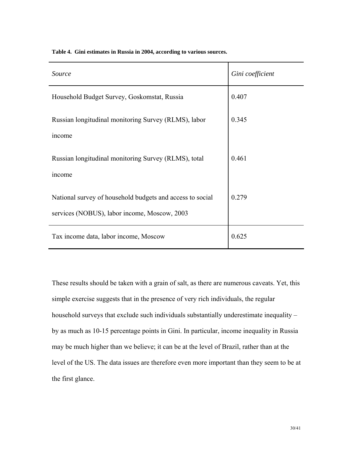|  |  |  | Table 4. Gini estimates in Russia in 2004, according to various sources. |
|--|--|--|--------------------------------------------------------------------------|
|--|--|--|--------------------------------------------------------------------------|

| Source                                                    | Gini coefficient |
|-----------------------------------------------------------|------------------|
| Household Budget Survey, Goskomstat, Russia               | 0.407            |
| Russian longitudinal monitoring Survey (RLMS), labor      | 0.345            |
| income                                                    |                  |
| Russian longitudinal monitoring Survey (RLMS), total      | 0.461            |
| income                                                    |                  |
| National survey of household budgets and access to social | 0.279            |
| services (NOBUS), labor income, Moscow, 2003              |                  |
| Tax income data, labor income, Moscow                     | 0.625            |

These results should be taken with a grain of salt, as there are numerous caveats. Yet, this simple exercise suggests that in the presence of very rich individuals, the regular household surveys that exclude such individuals substantially underestimate inequality – by as much as 10-15 percentage points in Gini. In particular, income inequality in Russia may be much higher than we believe; it can be at the level of Brazil, rather than at the level of the US. The data issues are therefore even more important than they seem to be at the first glance.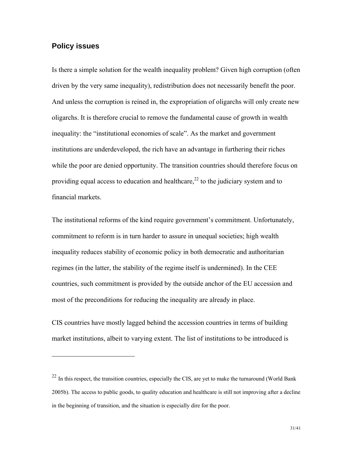#### **Policy issues**

 $\overline{a}$ 

Is there a simple solution for the wealth inequality problem? Given high corruption (often driven by the very same inequality), redistribution does not necessarily benefit the poor. And unless the corruption is reined in, the expropriation of oligarchs will only create new oligarchs. It is therefore crucial to remove the fundamental cause of growth in wealth inequality: the "institutional economies of scale". As the market and government institutions are underdeveloped, the rich have an advantage in furthering their riches while the poor are denied opportunity. The transition countries should therefore focus on providing equal access to education and healthcare,  $^{22}$  to the judiciary system and to financial markets.

The institutional reforms of the kind require government's commitment. Unfortunately, commitment to reform is in turn harder to assure in unequal societies; high wealth inequality reduces stability of economic policy in both democratic and authoritarian regimes (in the latter, the stability of the regime itself is undermined). In the CEE countries, such commitment is provided by the outside anchor of the EU accession and most of the preconditions for reducing the inequality are already in place.

CIS countries have mostly lagged behind the accession countries in terms of building market institutions, albeit to varying extent. The list of institutions to be introduced is

 $22$  In this respect, the transition countries, especially the CIS, are yet to make the turnaround (World Bank 2005b). The access to public goods, to quality education and healthcare is still not improving after a decline in the beginning of transition, and the situation is especially dire for the poor.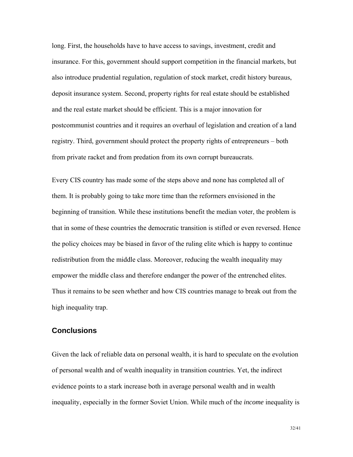long. First, the households have to have access to savings, investment, credit and insurance. For this, government should support competition in the financial markets, but also introduce prudential regulation, regulation of stock market, credit history bureaus, deposit insurance system. Second, property rights for real estate should be established and the real estate market should be efficient. This is a major innovation for postcommunist countries and it requires an overhaul of legislation and creation of a land registry. Third, government should protect the property rights of entrepreneurs – both from private racket and from predation from its own corrupt bureaucrats.

Every CIS country has made some of the steps above and none has completed all of them. It is probably going to take more time than the reformers envisioned in the beginning of transition. While these institutions benefit the median voter, the problem is that in some of these countries the democratic transition is stifled or even reversed. Hence the policy choices may be biased in favor of the ruling elite which is happy to continue redistribution from the middle class. Moreover, reducing the wealth inequality may empower the middle class and therefore endanger the power of the entrenched elites. Thus it remains to be seen whether and how CIS countries manage to break out from the high inequality trap.

#### **Conclusions**

Given the lack of reliable data on personal wealth, it is hard to speculate on the evolution of personal wealth and of wealth inequality in transition countries. Yet, the indirect evidence points to a stark increase both in average personal wealth and in wealth inequality, especially in the former Soviet Union. While much of the *income* inequality is

32/41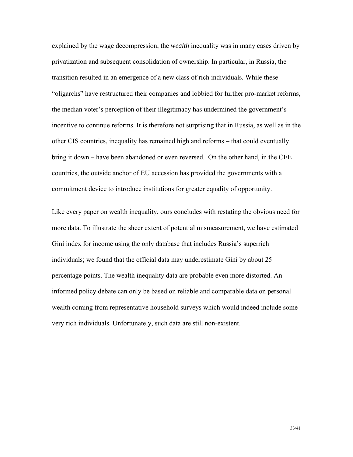explained by the wage decompression, the *wealth* inequality was in many cases driven by privatization and subsequent consolidation of ownership. In particular, in Russia, the transition resulted in an emergence of a new class of rich individuals. While these "oligarchs" have restructured their companies and lobbied for further pro-market reforms, the median voter's perception of their illegitimacy has undermined the government's incentive to continue reforms. It is therefore not surprising that in Russia, as well as in the other CIS countries, inequality has remained high and reforms – that could eventually bring it down – have been abandoned or even reversed. On the other hand, in the CEE countries, the outside anchor of EU accession has provided the governments with a commitment device to introduce institutions for greater equality of opportunity.

Like every paper on wealth inequality, ours concludes with restating the obvious need for more data. To illustrate the sheer extent of potential mismeasurement, we have estimated Gini index for income using the only database that includes Russia's superrich individuals; we found that the official data may underestimate Gini by about 25 percentage points. The wealth inequality data are probable even more distorted. An informed policy debate can only be based on reliable and comparable data on personal wealth coming from representative household surveys which would indeed include some very rich individuals. Unfortunately, such data are still non-existent.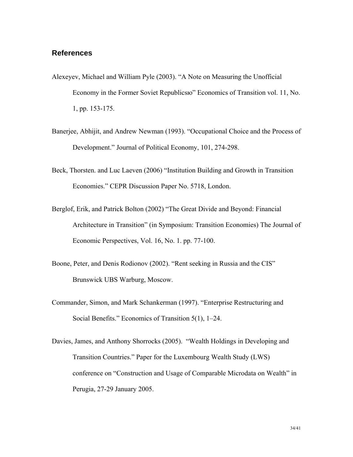#### **References**

- Alexeyev, Michael and William Pyle (2003). "A Note on Measuring the Unofficial Economy in the Former Soviet Republicsю" Economics of Transition vol. 11, No. 1, pp. 153-175.
- Banerjee, Abhijit, and Andrew Newman (1993). "Occupational Choice and the Process of Development." Journal of Political Economy, 101, 274-298.
- Beck, Thorsten. and Luc Laeven (2006) "Institution Building and Growth in Transition Economies." CEPR Discussion Paper No. 5718, London.
- Berglof, Erik, and Patrick Bolton (2002) "The Great Divide and Beyond: Financial Architecture in Transition" (in Symposium: Transition Economies) The Journal of Economic Perspectives, Vol. 16, No. 1. pp. 77-100.
- Boone, Peter, and Denis Rodionov (2002). "Rent seeking in Russia and the CIS" Brunswick UBS Warburg, Moscow.
- Commander, Simon, and Mark Schankerman (1997). "Enterprise Restructuring and Social Benefits." Economics of Transition 5(1), 1–24.
- Davies, James, and Anthony Shorrocks (2005). "Wealth Holdings in Developing and Transition Countries." Paper for the Luxembourg Wealth Study (LWS) conference on "Construction and Usage of Comparable Microdata on Wealth" in Perugia, 27-29 January 2005.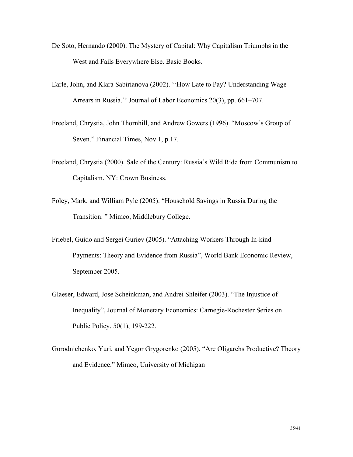- De Soto, Hernando (2000). The Mystery of Capital: Why Capitalism Triumphs in the West and Fails Everywhere Else. Basic Books.
- Earle, John, and Klara Sabirianova (2002). ''How Late to Pay? Understanding Wage Arrears in Russia.'' Journal of Labor Economics 20(3), pp. 661–707.
- Freeland, Chrystia, John Thornhill, and Andrew Gowers (1996). "Moscow's Group of Seven." Financial Times, Nov 1, p.17.
- Freeland, Chrystia (2000). Sale of the Century: Russia's Wild Ride from Communism to Capitalism. NY: Crown Business.
- Foley, Mark, and William Pyle (2005). "Household Savings in Russia During the Transition. " Mimeo, Middlebury College.
- Friebel, Guido and Sergei Guriev (2005). "Attaching Workers Through In-kind Payments: Theory and Evidence from Russia", World Bank Economic Review, September 2005.
- Glaeser, Edward, Jose Scheinkman, and Andrei Shleifer (2003). "The Injustice of Inequality", Journal of Monetary Economics: Carnegie-Rochester Series on Public Policy, 50(1), 199-222.
- Gorodnichenko, Yuri, and Yegor Grygorenko (2005). "Are Oligarchs Productive? Theory and Evidence." Mimeo, University of Michigan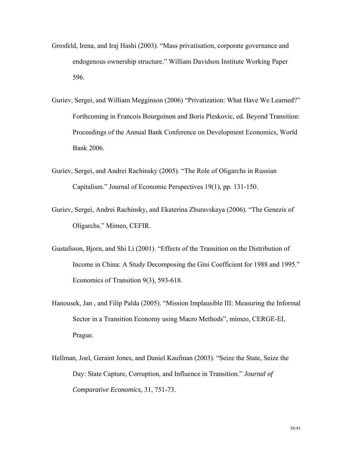- Grosfeld, Irena, and Iraj Hashi (2003). "Mass privatisation, corporate governance and endogenous ownership structure." William Davidson Institute Working Paper 596.
- Guriev, Sergei, and William Megginson (2006) "Privatization: What Have We Learned?" Forthcoming in Francois Bourgoinon and Boris Pleskovic, ed. Beyond Transition: Proceedings of the Annual Bank Conference on Development Economics, World Bank 2006.
- Guriev, Sergei, and Andrei Rachinsky (2005). "The Role of Oligarchs in Russian Capitalism." Journal of Economic Perspectives 19(1), pp. 131-150.
- Guriev, Sergei, Andrei Rachinsky, and Ekaterina Zhuravskaya (2006). "The Genezis of Oligarchs." Mimeo, CEFIR.
- Gustafsson, Bjorn, and Shi Li (2001). "Effects of the Transition on the Distribution of Income in China: A Study Decomposing the Gini Coefficient for 1988 and 1995." Economics of Transition 9(3), 593-618.
- Hanousek, Jan , and Filip Palda (2005). "Mission Implausible III: Measuring the Informal Sector in a Transition Economy using Macro Methods", mimeo, CERGE-EI, Prague.
- Hellman, Joel, Geraint Jones, and Daniel Kaufman (2003). "Seize the State, Seize the Day: State Capture, Corruption, and Influence in Transition." *Journal of Comparative Economics,* 31, 751-73.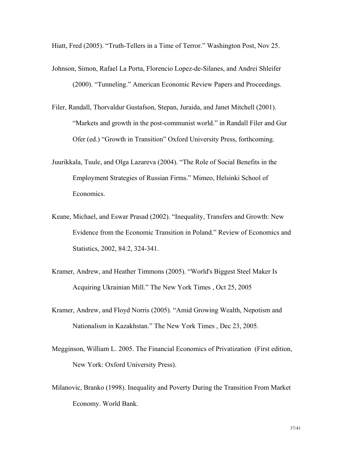Hiatt, Fred (2005). "Truth-Tellers in a Time of Terror." Washington Post, Nov 25.

- Johnson, Simon, Rafael La Porta, Florencio Lopez-de-Silanes, and Andrei Shleifer (2000). "Tunneling." American Economic Review Papers and Proceedings.
- Filer, Randall, Thorvaldur Gustafson, Stepan, Juraida, and Janet Mitchell (2001). "Markets and growth in the post-communist world." in Randall Filer and Gur Ofer (ed.) "Growth in Transition" Oxford University Press, forthcoming.
- Juurikkala, Tuule, and Olga Lazareva (2004). "The Role of Social Benefits in the Employment Strategies of Russian Firms." Mimeo, Helsinki School of Economics.
- Keane, Michael, and Eswar Prasad (2002). "Inequality, Transfers and Growth: New Evidence from the Economic Transition in Poland." Review of Economics and Statistics, 2002, 84:2, 324-341.
- Kramer, Andrew, and Heather Timmons (2005). "World's Biggest Steel Maker Is Acquiring Ukrainian Mill." The New York Times , Oct 25, 2005
- Kramer, Andrew, and Floyd Norris (2005). "Amid Growing Wealth, Nepotism and Nationalism in Kazakhstan." The New York Times , Dec 23, 2005.
- Megginson, William L. 2005. The Financial Economics of Privatization (First edition, New York: Oxford University Press).
- Milanovic, Branko (1998). Inequality and Poverty During the Transition From Market Economy. World Bank.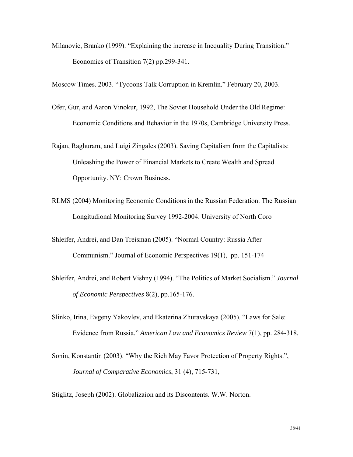Milanovic, Branko (1999). "Explaining the increase in Inequality During Transition." Economics of Transition 7(2) pp.299-341.

Moscow Times. 2003. "Tycoons Talk Corruption in Kremlin." February 20, 2003.

- Ofer, Gur, and Aaron Vinokur, 1992, The Soviet Household Under the Old Regime: Economic Conditions and Behavior in the 1970s, Cambridge University Press.
- Rajan, Raghuram, and Luigi Zingales (2003). Saving Capitalism from the Capitalists: Unleashing the Power of Financial Markets to Create Wealth and Spread Opportunity. NY: Crown Business.
- RLMS (2004) Monitoring Economic Conditions in the Russian Federation. The Russian Longitudional Monitoring Survey 1992-2004. University of North Coro
- Shleifer, Andrei, and Dan Treisman (2005). "Normal Country: Russia After Communism." Journal of Economic Perspectives 19(1), pp. 151-174
- Shleifer, Andrei, and Robert Vishny (1994). "The Politics of Market Socialism." *Journal of Economic Perspectives* 8(2), pp.165-176.
- Slinko, Irina, Evgeny Yakovlev, and Ekaterina Zhuravskaya (2005). "Laws for Sale: Evidence from Russia." *American Law and Economics Review* 7(1), pp. 284-318.
- Sonin, Konstantin (2003). "Why the Rich May Favor Protection of Property Rights.", *Journal of Comparative Economics*, 31 (4), 715-731,

Stiglitz, Joseph (2002). Globalizaion and its Discontents. W.W. Norton.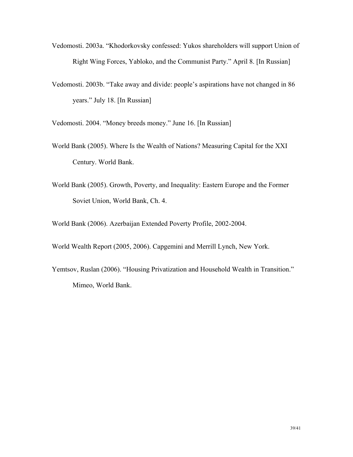- Vedomosti. 2003a. "Khodorkovsky confessed: Yukos shareholders will support Union of Right Wing Forces, Yabloko, and the Communist Party." April 8. [In Russian]
- Vedomosti. 2003b. "Take away and divide: people's aspirations have not changed in 86 years." July 18. [In Russian]

Vedomosti. 2004. "Money breeds money." June 16. [In Russian]

- World Bank (2005). Where Is the Wealth of Nations? Measuring Capital for the XXI Century. World Bank.
- World Bank (2005). Growth, Poverty, and Inequality: Eastern Europe and the Former Soviet Union, World Bank, Ch. 4.

World Bank (2006). Azerbaijan Extended Poverty Profile, 2002-2004.

World Wealth Report (2005, 2006). Capgemini and Merrill Lynch, New York.

Yemtsov, Ruslan (2006). "Housing Privatization and Household Wealth in Transition." Mimeo, World Bank.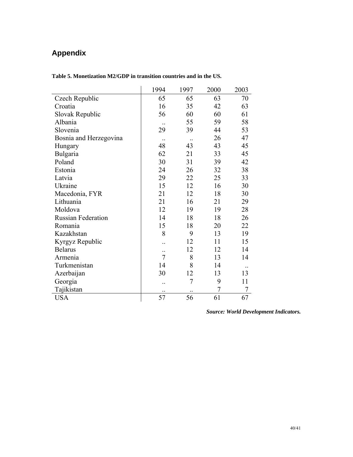# **Appendix**

|                           | 1994                 | 1997           | 2000           | 2003             |
|---------------------------|----------------------|----------------|----------------|------------------|
| Czech Republic            | 65                   | 65             | 63             | 70               |
| Croatia                   | 16                   | 35             | 42             | 63               |
| Slovak Republic           | 56                   | 60             | 60             | 61               |
| Albania                   |                      | 55             | 59             | 58               |
| Slovenia                  | 29                   | 39             | 44             | 53               |
| Bosnia and Herzegovina    | $\ddot{\phantom{0}}$ | $\cdot$        | 26             | 47               |
| Hungary                   | 48                   | 43             | 43             | 45               |
| Bulgaria                  | 62                   | 21             | 33             | 45               |
| Poland                    | 30                   | 31             | 39             | 42               |
| Estonia                   | 24                   | 26             | 32             | 38               |
| Latvia                    | 29                   | 22             | 25             | 33               |
| Ukraine                   | 15                   | 12             | 16             | 30               |
| Macedonia, FYR            | 21                   | 12             | 18             | 30               |
| Lithuania                 | 21                   | 16             | 21             | 29               |
| Moldova                   | 12                   | 19             | 19             | 28               |
| <b>Russian Federation</b> | 14                   | 18             | 18             | 26               |
| Romania                   | 15                   | 18             | 20             | 22               |
| Kazakhstan                | 8                    | 9              | 13             | 19               |
| Kyrgyz Republic           |                      | 12             | 11             | 15               |
| <b>Belarus</b>            | $\ddotsc$            | 12             | 12             | 14               |
| Armenia                   | $\overline{7}$       | 8              | 13             | 14               |
| Turkmenistan              | 14                   | 8              | 14             |                  |
| Azerbaijan                | 30                   | 12             | 13             | 13               |
| Georgia                   | $\ddot{\phantom{a}}$ | $\overline{7}$ | 9              | 11               |
| Tajikistan                | $\cdot$ .            | $\cdot$ .      | $\overline{7}$ | $\boldsymbol{7}$ |
| <b>USA</b>                | 57                   | 56             | 61             | 67               |

**Table 5. Monetization M2/GDP in transition countries and in the US.** 

*Source: World Development Indicators.*